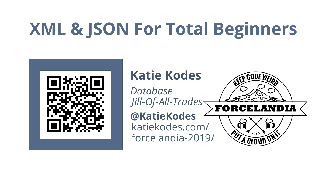# **XML & JSON For Total Beginners**



### **Katie Kodes**

*Database Jill-Of-All-Trades*

**@KatieKodes** katiekodes.com/ forcelandia-2019/

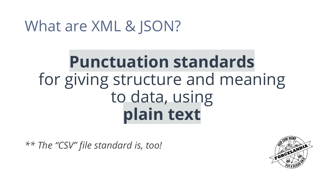## What are XML & JSON?

# **Punctuation standards** for giving structure and meaning to data, using **plain text**

*\*\* The "CSV" file standard is, too!*

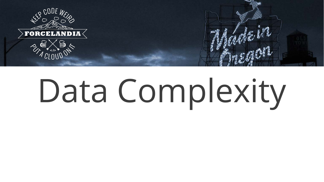

# Data Complexity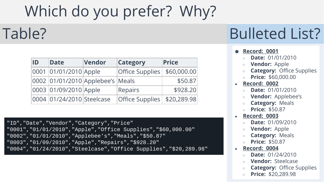# Which do you prefer? Why?

| ID | <b>Date</b>                      | Vendor | <b>Category</b>               | <b>Price</b> |
|----|----------------------------------|--------|-------------------------------|--------------|
|    | 0001 01/01/2010 Apple            |        | Office Supplies   \$60,000.00 |              |
|    | 0002 01/01/2010 Applebee's Meals |        |                               | \$50.87      |
|    | 0003 01/09/2010 Apple            |        | <b>Repairs</b>                | \$928.20     |
|    | 0004 01/24/2010 Steelcase        |        | Office Supplies   \$20,289.98 |              |

```
"ID","Date","Vendor","Category","Price"
"0001","01/01/2010","Apple","Office Supplies","$60,000.00"
"0002","01/01/2010","Applebee's","Meals","$50.87"
"0003","01/09/2010","Apple","Repairs","$928.20"
"0004","01/24/2010","Steelcase","Office Supplies","$20,289.98"
```
# Table? Bulleted List?

#### ● **Record: 0001**

- **Date:** 01/01/2010
- **Vendor:** Apple
- **Category: Office Supplies**
- **Price:** \$60,000.00
- **Record: 0002**
	- **Date:** 01/01/2010
	- **Vendor:** Applebee's
	- **Category:** Meals
	- **Price:** \$50.87
- **Record: 0003**
	- **Date:** 01/09/2010
	- **Vendor:** Apple
	- **Category:** Meals
	- **Price:** \$50.87
- **Record: 0004**
	- **Date:** 01/24/2010
	- **Vendor: Steelcase**
	- **Category: Office Supplies**
	- **Price:** \$20,289.98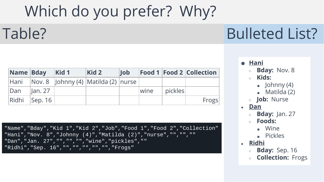# Which do you prefer? Why?

### Table? Bulleted List?

| Name Bday |                | $\mathsf{Kid}$ 1 | Kid 2                                                                    | $\vert$ lob |      |         | <b>Food 1 Food 2 Collection</b> |
|-----------|----------------|------------------|--------------------------------------------------------------------------|-------------|------|---------|---------------------------------|
|           |                |                  | Hani $\vert$ Nov. 8 $\vert$ Johnny (4) $\vert$ Matilda (2) $\vert$ nurse |             |      |         |                                 |
| Dan       | $\vert$ an. 27 |                  |                                                                          |             | wine | pickles |                                 |
|           | Ridhi Sep. 16  |                  |                                                                          |             |      |         | Frogs                           |

```
"Name","Bday","Kid 1","Kid 2","Job","Food 1","Food 2","Collection"
"Hani","Nov. 8","Johnny (4)","Matilda (2)","nurse","","",""
"Dan","Jan. 27","","","","wine","pickles",""
"Ridhi","Sep. 16","","","","","","Frogs"
```
#### ● **Hani**

- **Bday:** Nov. 8
- **Kids:**
	- $\Box$  Johnny (4)
	- Matilda (2)
- **Job:** Nurse
- **Dan**
	- **Bday:** Jan. 27
	- **Foods:**
		- Wine
		- Pickles
- **Ridhi**
	- **Bday:** Sep. 16
	- **Collection:** Frogs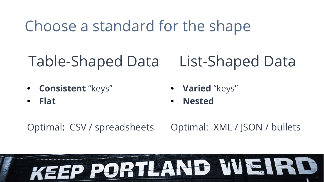### Choose a standard for the shape

#### Table-Shaped Data List-Shaped Data

• **Consistent** "keys"

• **Flat**

- **Varied** "keys"
	- **Nested**

Optimal: CSV / spreadsheets Optimal: XML / JSON / bullets

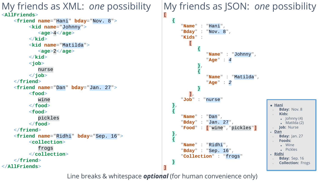

Line breaks & whitespace *optional* (for human convenience only)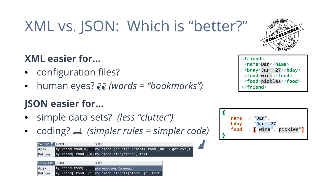# XML vs. JSON: Which is "better?"

### **XML easier for…**

- configuration files?
- human eyes? *(words = "bookmarks")*

#### **JSON easier for...**

- simple data sets? *(less "clutter")*
- coding? *(simpler rules = simpler code)*

| "wine" Y JSON  |                  | <b>XML</b>                                      |  |  |
|----------------|------------------|-------------------------------------------------|--|--|
| <b>Apex</b>    | myFriend.food[0] | myFriend.getChildElement('food',null).getText() |  |  |
| Python         |                  | myFriend['food'][0] myFriend.find('food').text  |  |  |
|                |                  |                                                 |  |  |
| "pickles" JSON |                  |                                                 |  |  |
|                |                  | <b>XML</b>                                      |  |  |
| <b>Apex</b>    | myFriend.food[1] | (too many lines to show!)                       |  |  |





| " $name" : "Dan"$ |                             |
|-------------------|-----------------------------|
|                   | " $bday$ ": "Jan. 27"       |
|                   | "food": ["wine", "pickles"] |
|                   |                             |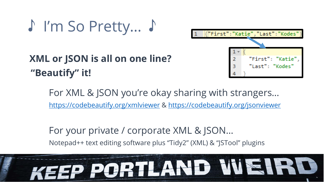J I'm So Pretty…J

### **XML or JSON is all on one line? "Beautify" it!**



For XML & JSON you're okay sharing with strangers… <https://codebeautify.org/xmlviewer> &<https://codebeautify.org/jsonviewer>

For your private / corporate XML & JSON…

Notepad++ text editing software plus "Tidy2" (XML) & "JSTool" plugins

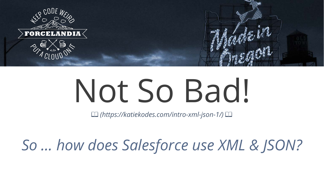

# Not So Bad!

*(https://katiekodes.com/intro-xml-json-1/)* 

*So … how does Salesforce use XML & JSON?*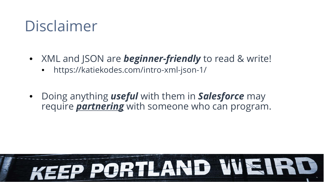### Disclaimer

- XML and JSON are *beginner-friendly* to read & write!
	- https://katiekodes.com/intro-xml-json-1/
- Doing anything *useful* with them in *Salesforce* may require *partnering* with someone who can program.

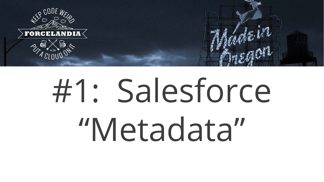

# #1: Salesforce "Metadata"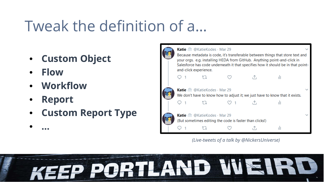# Tweak the definition of a…

- **Custom Object**
- **Flow**
- **Workflow**
- **Report**
- **Custom Report Type**
- **…**



*(Live-tweets of a talk by @NickersUniverse)*

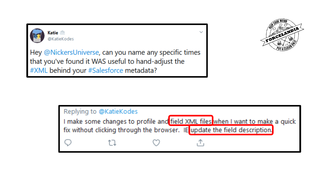

@KatieKodes

Hey @NickersUniverse, can you name any specific times that you've found it WAS useful to hand-adjust the #XML behind your #Salesforce metadata?



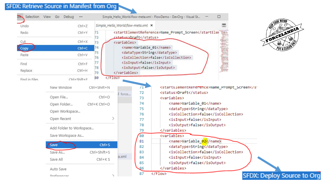#### SFDX: Retrieve Source in Manifest from Org

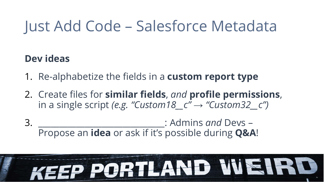## Just Add Code – Salesforce Metadata

#### **Dev ideas**

- 1. Re-alphabetize the fields in a **custom report type**
- 2. Create files for **similar fields**, *and* **profile permissions**, in a single script *(e.g. "Custom18\_\_c" → "Custom32\_\_c")*
- 3. \_\_\_\_\_\_\_\_\_\_\_\_\_\_\_\_\_\_\_\_\_\_\_\_\_\_\_\_\_\_: Admins *and* Devs Propose an **idea** or ask if it's possible during **Q&A**!

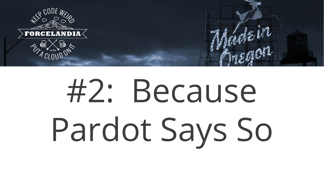

# #2: Because Pardot Says So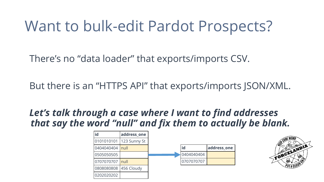## Want to bulk-edit Pardot Prospects?

There's no "data loader" that exports/imports CSV.

But there is an "HTTPS API" that exports/imports JSON/XML.

#### *Let's talk through a case where I want to find addresses that say the word "null" and fix them to actually be blank.*

| id                    | address one             |            |             |
|-----------------------|-------------------------|------------|-------------|
|                       | 0101010101 123 Sunny St |            |             |
| 0404040404 null       |                         | id         | address one |
| 0505050505            |                         | 0404040404 |             |
| 0707070707   null     |                         | 0707070707 |             |
| 0808080808 456 Cloudy |                         |            |             |
| 0202020202            |                         |            |             |

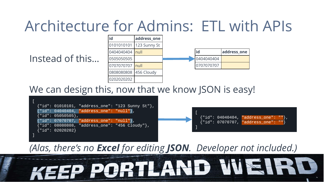# Architecture for Admins: ETL with APIs



We can design this, now that we know JSON is easy!



*(Alas, there's no Excel for editing JSON. Developer not included.)*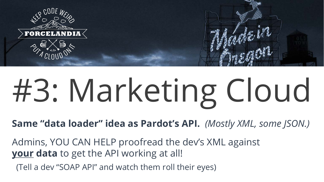

# #3: Marketing Cloud

**Same "data loader" idea as Pardot's API.** *(Mostly XML, some JSON.)*

Admins, YOU CAN HELP proofread the dev's XML against **your data** to get the API working at all!

(Tell a dev "SOAP API" and watch them roll their eyes)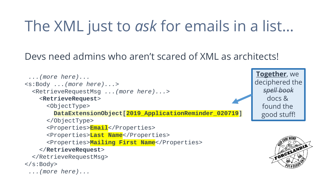# The XML just to *ask* for emails in a list…

#### Devs need admins who aren't scared of XML as architects!

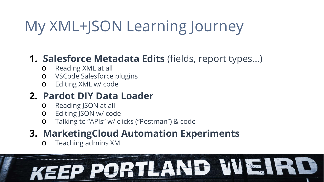# My XML+JSON Learning Journey

#### **1. Salesforce Metadata Edits** (fields, report types…)

- o Reading XML at all
- o VSCode Salesforce plugins
- o Editing XML w/ code

#### **2. Pardot DIY Data Loader**

- o Reading JSON at all
- o Editing JSON w/ code
- o Talking to "APIs" w/ clicks ("Postman") & code

### **3. MarketingCloud Automation Experiments**

o Teaching admins XML

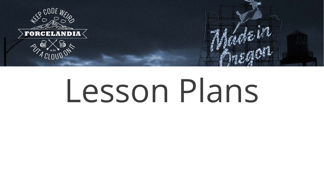

# Lesson Plans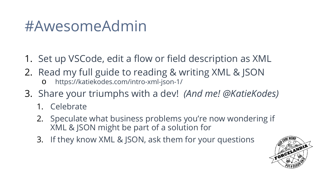### #AwesomeAdmin

- 1. Set up VSCode, edit a flow or field description as XML
- 2. Read my full guide to reading & writing XML & JSON o https://katiekodes.com/intro-xml-json-1/
- 3. Share your triumphs with a dev! *(And me! @KatieKodes)*
	- 1. Celebrate
	- 2. Speculate what business problems you're now wondering if XML & JSON might be part of a solution for
	- 3. If they know XML & JSON, ask them for your questions

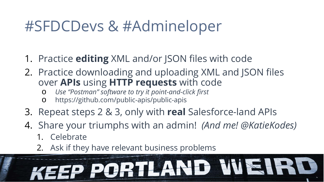## #SFDCDevs & #Admineloper

- 1. Practice **editing** XML and/or JSON files with code
- 2. Practice downloading and uploading XML and JSON files over **APIs** using **HTTP requests** with code
	- o *Use "Postman" software to try it point-and-click first*
	- o https://github.com/public-apis/public-apis
- 3. Repeat steps 2 & 3, only with **real** Salesforce-land APIs
- 4. Share your triumphs with an admin! *(And me! @KatieKodes)*
	- 1. Celebrate
	- 2. Ask if they have relevant business problems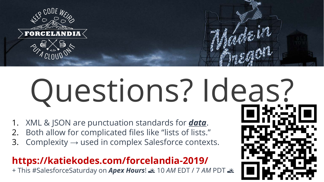

# Questions? Ideas?

- 1. XML & JSON are punctuation standards for *data*.
- 2. Both allow for complicated files like "lists of lists."
- 3. Complexity  $\rightarrow$  used in complex Salesforce contexts.

#### **https://katiekodes.com/forcelandia-2019/**

+ This #SalesforceSaturday on *Apex Hours*! 10 *AM* EDT / 7 *AM* PDT